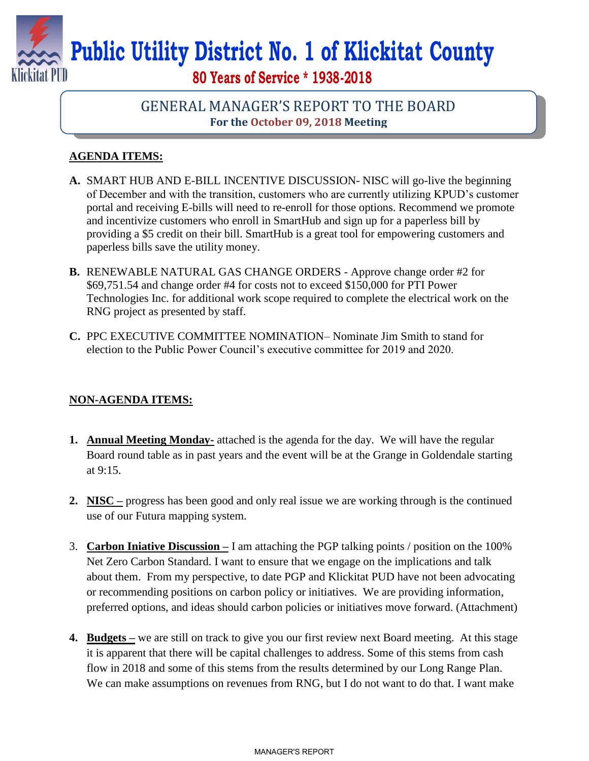

# **Public Utility District No. 1 of Klickitat County**

**80 Years of Service \* 1938-2018**

## GENERAL MANAGER'S REPORT TO THE BOARD **For the October 09, 2018 Meeting**

### **AGENDA ITEMS:**

- **A.** SMART HUB AND E-BILL INCENTIVE DISCUSSION- NISC will go-live the beginning of December and with the transition, customers who are currently utilizing KPUD's customer portal and receiving E-bills will need to re-enroll for those options. Recommend we promote and incentivize customers who enroll in SmartHub and sign up for a paperless bill by providing a \$5 credit on their bill. SmartHub is a great tool for empowering customers and paperless bills save the utility money.
- **B.** RENEWABLE NATURAL GAS CHANGE ORDERS Approve change order #2 for \$69,751.54 and change order #4 for costs not to exceed \$150,000 for PTI Power Technologies Inc. for additional work scope required to complete the electrical work on the RNG project as presented by staff.
- **C.** PPC EXECUTIVE COMMITTEE NOMINATION– Nominate Jim Smith to stand for election to the Public Power Council's executive committee for 2019 and 2020.

#### **NON-AGENDA ITEMS:**

- **1. Annual Meeting Monday-** attached is the agenda for the day. We will have the regular Board round table as in past years and the event will be at the Grange in Goldendale starting at 9:15.
- **2. NISC –** progress has been good and only real issue we are working through is the continued use of our Futura mapping system.
- 3. **Carbon Iniative Discussion –** I am attaching the PGP talking points / position on the 100% Net Zero Carbon Standard. I want to ensure that we engage on the implications and talk about them. From my perspective, to date PGP and Klickitat PUD have not been advocating or recommending positions on carbon policy or initiatives. We are providing information, preferred options, and ideas should carbon policies or initiatives move forward. (Attachment)
- **4. Budgets –** we are still on track to give you our first review next Board meeting. At this stage it is apparent that there will be capital challenges to address. Some of this stems from cash flow in 2018 and some of this stems from the results determined by our Long Range Plan. We can make assumptions on revenues from RNG, but I do not want to do that. I want make

#### MANAGER'S REPORT